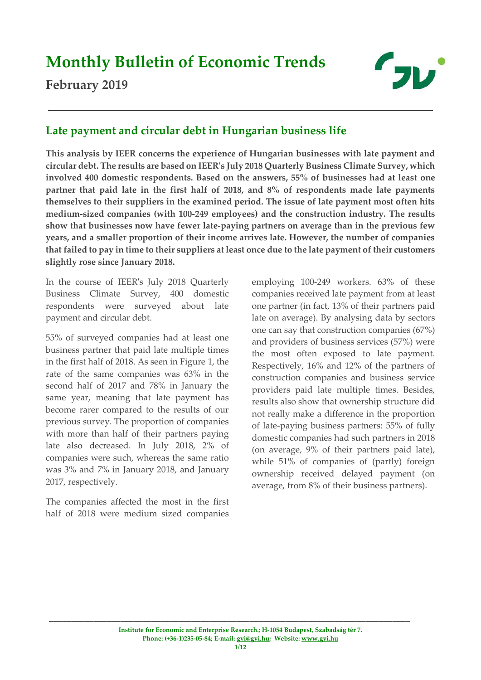# **Monthly Bulletin of Economic Trends**

# **February 2019**



## **Late payment and circular debt in Hungarian business life**

**This analysis by IEER concerns the experience of Hungarian businesses with late payment and circular debt. The results are based on IEER's July 2018 Quarterly Business Climate Survey, which involved 400 domestic respondents. Based on the answers, 55% of businesses had at least one partner that paid late in the first half of 2018, and 8% of respondents made late payments themselves to their suppliers in the examined period. The issue of late payment most often hits medium-sized companies (with 100-249 employees) and the construction industry. The results show that businesses now have fewer late-paying partners on average than in the previous few years, and a smaller proportion of their income arrives late. However, the number of companies that failed to pay in time to their suppliers at least once due to the late payment of their customers slightly rose since January 2018.**

In the course of IEER's July 2018 Quarterly Business Climate Survey, 400 domestic respondents were surveyed about late payment and circular debt.

55% of surveyed companies had at least one business partner that paid late multiple times in the first half of 2018. As seen in Figure 1, the rate of the same companies was 63% in the second half of 2017 and 78% in January the same year, meaning that late payment has become rarer compared to the results of our previous survey. The proportion of companies with more than half of their partners paying late also decreased. In July 2018, 2% of companies were such, whereas the same ratio was 3% and 7% in January 2018, and January 2017, respectively.

The companies affected the most in the first half of 2018 were medium sized companies

employing 100-249 workers. 63% of these companies received late payment from at least one partner (in fact, 13% of their partners paid late on average). By analysing data by sectors one can say that construction companies (67%) and providers of business services (57%) were the most often exposed to late payment. Respectively, 16% and 12% of the partners of construction companies and business service providers paid late multiple times. Besides, results also show that ownership structure did not really make a difference in the proportion of late-paying business partners: 55% of fully domestic companies had such partners in 2018 (on average, 9% of their partners paid late), while 51% of companies of (partly) foreign ownership received delayed payment (on average, from 8% of their business partners).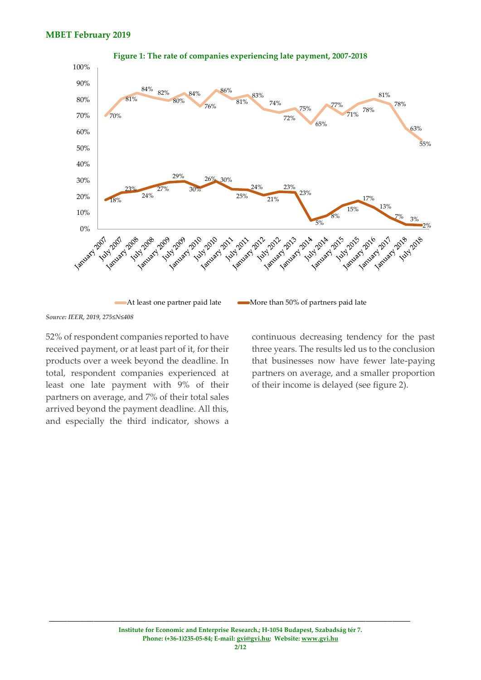

**Figure 1: The rate of companies experiencing late payment, 2007-2018**

*Source: IEER, 2019, 275≤N≤408*

52% of respondent companies reported to have received payment, or at least part of it, for their products over a week beyond the deadline. In total, respondent companies experienced at least one late payment with 9% of their partners on average, and 7% of their total sales arrived beyond the payment deadline. All this, and especially the third indicator, shows a

continuous decreasing tendency for the past three years. The results led us to the conclusion that businesses now have fewer late-paying partners on average, and a smaller proportion of their income is delayed (see figure 2).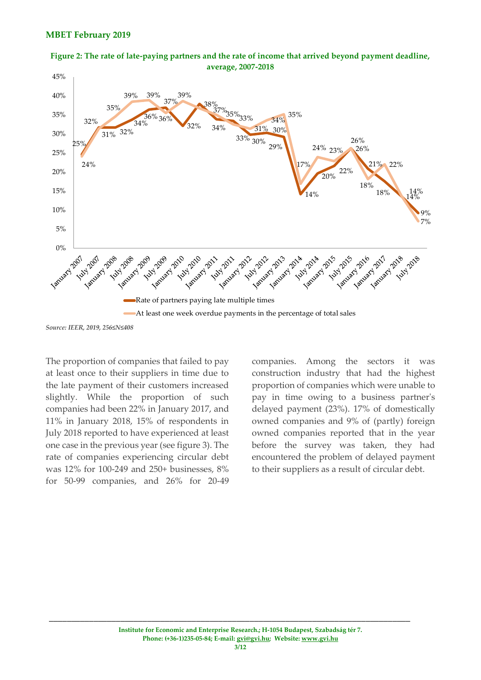



*Source: IEER, 2019, 256≤N≤408*

The proportion of companies that failed to pay at least once to their suppliers in time due to the late payment of their customers increased slightly. While the proportion of such companies had been 22% in January 2017, and 11% in January 2018, 15% of respondents in July 2018 reported to have experienced at least one case in the previous year (see figure 3). The rate of companies experiencing circular debt was 12% for 100-249 and 250+ businesses, 8% for 50-99 companies, and 26% for 20-49 companies. Among the sectors it was construction industry that had the highest proportion of companies which were unable to pay in time owing to a business partner's delayed payment (23%). 17% of domestically owned companies and 9% of (partly) foreign owned companies reported that in the year before the survey was taken, they had encountered the problem of delayed payment to their suppliers as a result of circular debt.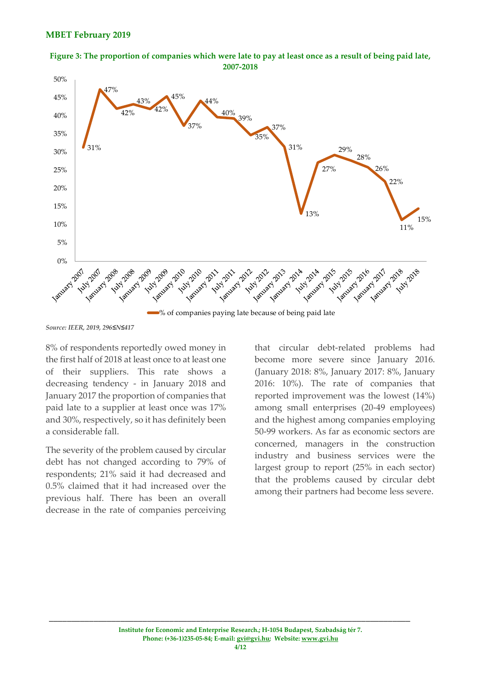



*Source: IEER, 2019, 296≤N≤417*

8% of respondents reportedly owed money in the first half of 2018 at least once to at least one of their suppliers. This rate shows a decreasing tendency - in January 2018 and January 2017 the proportion of companies that paid late to a supplier at least once was 17% and 30%, respectively, so it has definitely been a considerable fall.

The severity of the problem caused by circular debt has not changed according to 79% of respondents; 21% said it had decreased and 0.5% claimed that it had increased over the previous half. There has been an overall decrease in the rate of companies perceiving

that circular debt-related problems had become more severe since January 2016. (January 2018: 8%, January 2017: 8%, January 2016: 10%). The rate of companies that reported improvement was the lowest (14%) among small enterprises (20-49 employees) and the highest among companies employing 50-99 workers. As far as economic sectors are concerned, managers in the construction industry and business services were the largest group to report (25% in each sector) that the problems caused by circular debt among their partners had become less severe.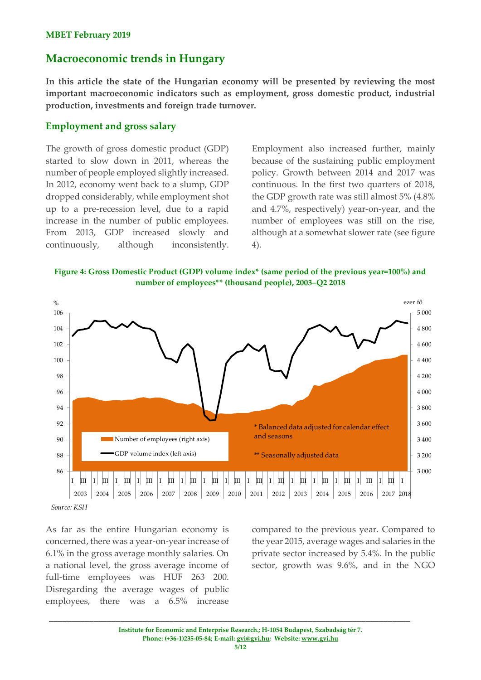### **Macroeconomic trends in Hungary**

**In this article the state of the Hungarian economy will be presented by reviewing the most important macroeconomic indicators such as employment, gross domestic product, industrial production, investments and foreign trade turnover.**

### **Employment and gross salary**

The growth of gross domestic product (GDP) started to slow down in 2011, whereas the number of people employed slightly increased. In 2012, economy went back to a slump, GDP dropped considerably, while employment shot up to a pre-recession level, due to a rapid increase in the number of public employees. From 2013, GDP increased slowly and continuously, although inconsistently.

Employment also increased further, mainly because of the sustaining public employment policy. Growth between 2014 and 2017 was continuous. In the first two quarters of 2018, the GDP growth rate was still almost 5% (4.8% and 4.7%, respectively) year-on-year, and the number of employees was still on the rise, although at a somewhat slower rate (see figure 4).

**Figure 4: Gross Domestic Product (GDP) volume index\* (same period of the previous year=100%) and number of employees\*\* (thousand people), 2003–Q2 2018**



As far as the entire Hungarian economy is concerned, there was a year-on-year increase of 6.1% in the gross average monthly salaries. On a national level, the gross average income of full-time employees was HUF 263 200. Disregarding the average wages of public employees, there was a 6.5% increase

compared to the previous year. Compared to the year 2015, average wages and salaries in the private sector increased by 5.4%. In the public sector, growth was 9.6%, and in the NGO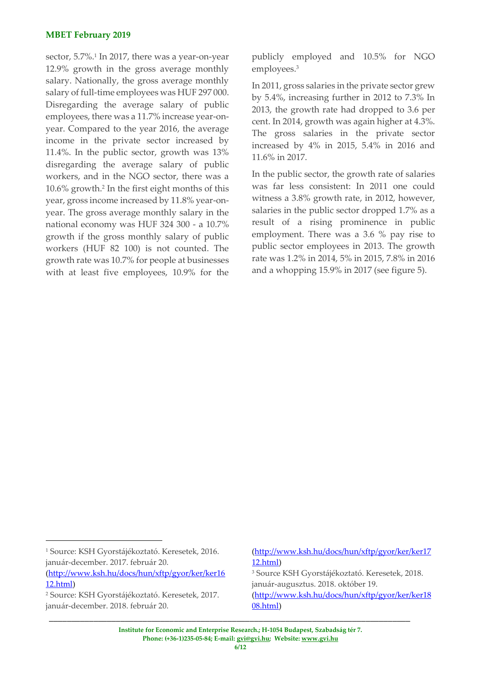#### **MBET February 2019**

sector, 5.7%.<sup>1</sup> In 2017, there was a year-on-year 12.9% growth in the gross average monthly salary. Nationally, the gross average monthly salary of full-time employees was HUF 297 000. Disregarding the average salary of public employees, there was a 11.7% increase year-onyear. Compared to the year 2016, the average income in the private sector increased by 11.4%. In the public sector, growth was 13% disregarding the average salary of public workers, and in the NGO sector, there was a 10.6% growth.<sup>2</sup> In the first eight months of this year, gross income increased by 11.8% year-onyear. The gross average monthly salary in the national economy was HUF 324 300 - a 10.7% growth if the gross monthly salary of public workers (HUF 82 100) is not counted. The growth rate was 10.7% for people at businesses with at least five employees, 10.9% for the

publicly employed and 10.5% for NGO employees.<sup>3</sup>

In 2011, gross salaries in the private sector grew by 5.4%, increasing further in 2012 to 7.3% In 2013, the growth rate had dropped to 3.6 per cent. In 2014, growth was again higher at 4.3%. The gross salaries in the private sector increased by 4% in 2015, 5.4% in 2016 and 11.6% in 2017.

In the public sector, the growth rate of salaries was far less consistent: In 2011 one could witness a 3.8% growth rate, in 2012, however, salaries in the public sector dropped 1.7% as a result of a rising prominence in public employment. There was a 3.6 % pay rise to public sector employees in 2013. The growth rate was 1.2% in 2014, 5% in 2015, 7.8% in 2016 and a whopping 15.9% in 2017 (see figure 5).

1

(http://www.ksh.hu/docs/hun/xftp/gyor/ker/ker17 12.html) <sup>3</sup> Source KSH Gyorstájékoztató. Keresetek, 2018. január-augusztus. 2018. október 19.

(http://www.ksh.hu/docs/hun/xftp/gyor/ker/ker18 08.html)

<sup>1</sup> Source: KSH Gyorstájékoztató. Keresetek, 2016. január-december. 2017. február 20.

<sup>(</sup>http://www.ksh.hu/docs/hun/xftp/gyor/ker/ker16 12.html)

<sup>2</sup> Source: KSH Gyorstájékoztató. Keresetek, 2017. január-december. 2018. február 20.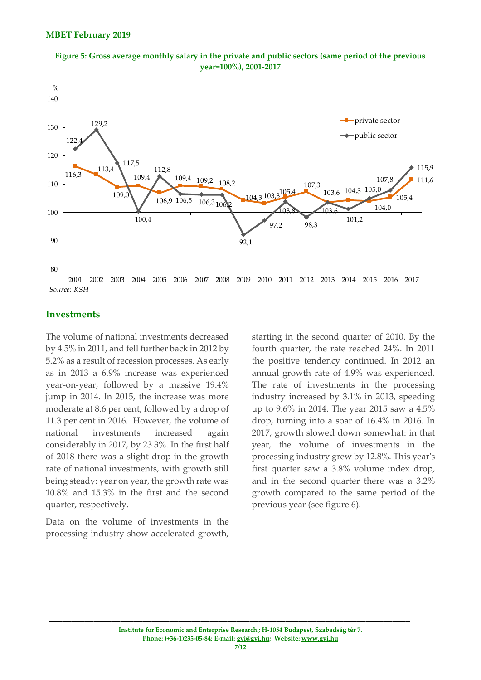![](_page_6_Figure_1.jpeg)

![](_page_6_Figure_2.jpeg)

### **Investments**

The volume of national investments decreased by 4.5% in 2011, and fell further back in 2012 by 5.2% as a result of recession processes. As early as in 2013 a 6.9% increase was experienced year-on-year, followed by a massive 19.4% jump in 2014. In 2015, the increase was more moderate at 8.6 per cent, followed by a drop of 11.3 per cent in 2016. However, the volume of national investments increased again considerably in 2017, by 23.3%. In the first half of 2018 there was a slight drop in the growth rate of national investments, with growth still being steady: year on year, the growth rate was 10.8% and 15.3% in the first and the second quarter, respectively.

Data on the volume of investments in the processing industry show accelerated growth, starting in the second quarter of 2010. By the fourth quarter, the rate reached 24%. In 2011 the positive tendency continued. In 2012 an annual growth rate of 4.9% was experienced. The rate of investments in the processing industry increased by 3.1% in 2013, speeding up to 9.6% in 2014. The year 2015 saw a 4.5% drop, turning into a soar of 16.4% in 2016. In 2017, growth slowed down somewhat: in that year, the volume of investments in the processing industry grew by 12.8%. This year's first quarter saw a 3.8% volume index drop, and in the second quarter there was a 3.2% growth compared to the same period of the previous year (see figure 6).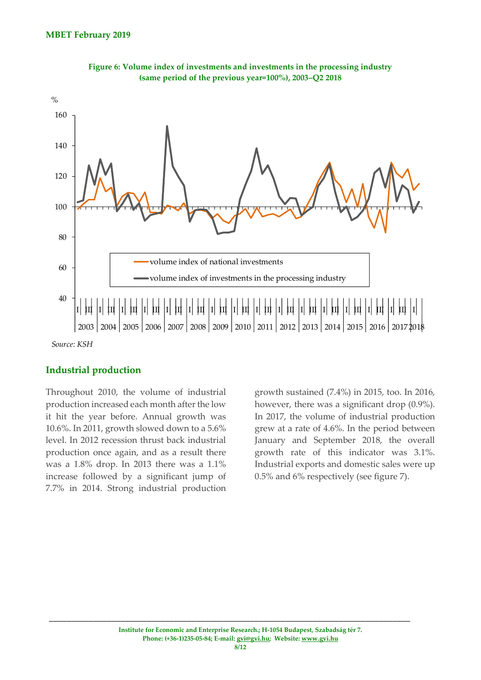![](_page_7_Figure_1.jpeg)

![](_page_7_Figure_2.jpeg)

### **Industrial production**

Throughout 2010, the volume of industrial production increased each month after the low it hit the year before. Annual growth was 10.6%. In 2011, growth slowed down to a 5.6% level. In 2012 recession thrust back industrial production once again, and as a result there was a 1.8% drop. In 2013 there was a 1.1% increase followed by a significant jump of 7.7% in 2014. Strong industrial production

growth sustained (7.4%) in 2015, too. In 2016, however, there was a significant drop (0.9%). In 2017, the volume of industrial production grew at a rate of 4.6%. In the period between January and September 2018, the overall growth rate of this indicator was 3.1%. Industrial exports and domestic sales were up 0.5% and 6% respectively (see figure 7).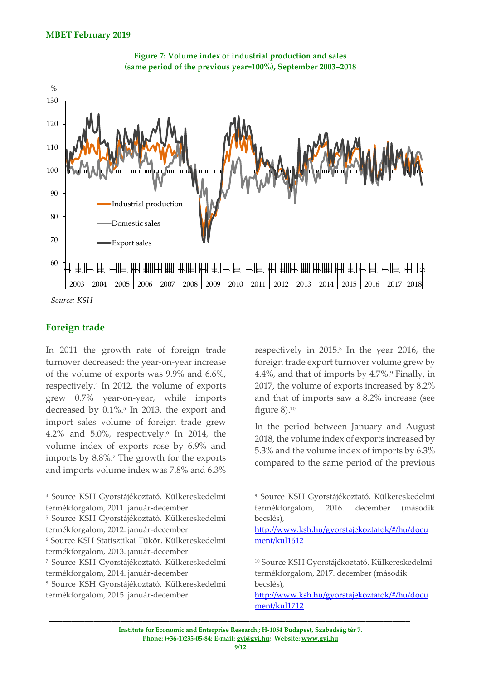![](_page_8_Figure_1.jpeg)

![](_page_8_Figure_2.jpeg)

*Source: KSH*

### **Foreign trade**

1

In 2011 the growth rate of foreign trade turnover decreased: the year-on-year increase of the volume of exports was 9.9% and 6.6%, respectively.<sup>4</sup> In 2012, the volume of exports grew 0.7% year-on-year, while imports decreased by 0.1%.<sup>5</sup> In 2013, the export and import sales volume of foreign trade grew 4.2% and 5.0%, respectively.<sup>6</sup> In 2014, the volume index of exports rose by 6.9% and imports by 8.8%.<sup>7</sup> The growth for the exports and imports volume index was 7.8% and 6.3%

<sup>5</sup> Source KSH Gyorstájékoztató. Külkereskedelmi termékforgalom, 2012. január-december

respectively in 2015.<sup>8</sup> In the year 2016, the foreign trade export turnover volume grew by 4.4%, and that of imports by 4.7%.<sup>9</sup> Finally, in 2017, the volume of exports increased by 8.2% and that of imports saw a 8.2% increase (see figure 8).<sup>10</sup>

In the period between January and August 2018, the volume index of exports increased by 5.3% and the volume index of imports by 6.3% compared to the same period of the previous

[http://www.ksh.hu/gyorstajekoztatok/#/hu/docu](http://www.ksh.hu/gyorstajekoztatok/#/hu/document/kul1612) [ment/kul1612](http://www.ksh.hu/gyorstajekoztatok/#/hu/document/kul1612)

<sup>4</sup> Source KSH Gyorstájékoztató. Külkereskedelmi termékforgalom, 2011. január-december

<sup>6</sup> Source KSH Statisztikai Tükör. Külkereskedelmi termékforgalom, 2013. január-december

<sup>7</sup> Source KSH Gyorstájékoztató. Külkereskedelmi termékforgalom, 2014. január-december

<sup>8</sup> Source KSH Gyorstájékoztató. Külkereskedelmi termékforgalom, 2015. január-december

<sup>9</sup> Source KSH Gyorstájékoztató. Külkereskedelmi termékforgalom, 2016. december (második becslés),

<sup>10</sup> Source KSH Gyorstájékoztató. Külkereskedelmi termékforgalom, 2017. december (második becslés),

http://www.ksh.hu/gyorstajekoztatok/#/hu/docu ment/kul1712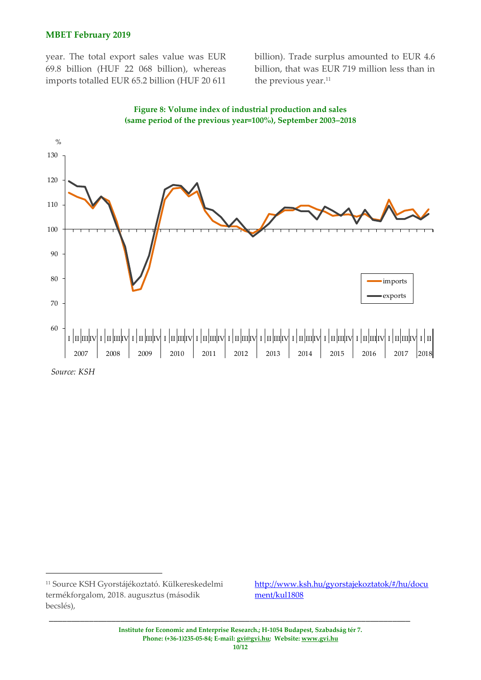#### **MBET February 2019**

year. The total export sales value was EUR 69.8 billion (HUF 22 068 billion), whereas imports totalled EUR 65.2 billion (HUF 20 611

billion). Trade surplus amounted to EUR 4.6 billion, that was EUR 719 million less than in the previous year.<sup>11</sup>

![](_page_9_Figure_3.jpeg)

**Figure 8: Volume index of industrial production and sales (same period of the previous year=100%), September 2003–2018**

1

http://www.ksh.hu/gyorstajekoztatok/#/hu/docu ment/kul1808

*Source: KSH*

<sup>11</sup> Source KSH Gyorstájékoztató. Külkereskedelmi termékforgalom, 2018. augusztus (második becslés),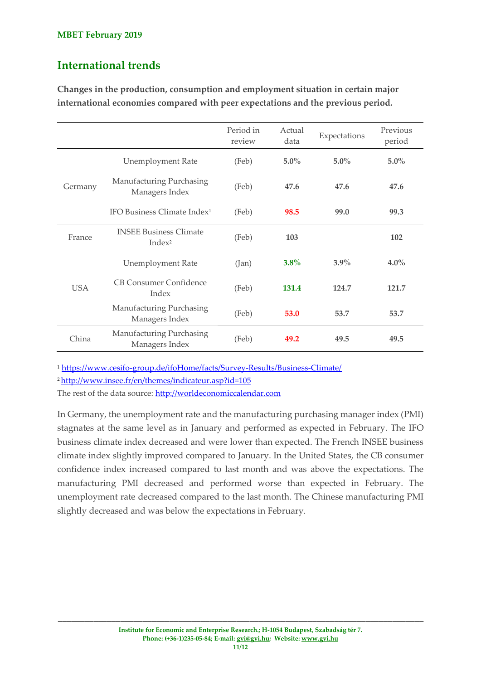# **International trends**

**Changes in the production, consumption and employment situation in certain major international economies compared with peer expectations and the previous period.**

|            |                                                     | Period in<br>review | Actual<br>data | Expectations | Previous<br>period |
|------------|-----------------------------------------------------|---------------------|----------------|--------------|--------------------|
| Germany    | <b>Unemployment Rate</b>                            | (Feb)               | $5.0\%$        | $5.0\%$      | $5.0\%$            |
|            | Manufacturing Purchasing<br>Managers Index          | (Feb)               | 47.6           | 47.6         | 47.6               |
|            | IFO Business Climate Index <sup>1</sup>             | (Feb)               | 98.5           | 99.0         | 99.3               |
| France     | <b>INSEE Business Climate</b><br>Index <sup>2</sup> | (Feb)               | 103            |              | 102                |
| <b>USA</b> | <b>Unemployment Rate</b>                            | (Jan)               | $3.8\%$        | $3.9\%$      | $4.0\%$            |
|            | <b>CB Consumer Confidence</b><br>Index              | (Feb)               | 131.4          | 124.7        | 121.7              |
|            | Manufacturing Purchasing<br>Managers Index          | (Feb)               | 53.0           | 53.7         | 53.7               |
| China      | Manufacturing Purchasing<br>Managers Index          | (Feb)               | 49.2           | 49.5         | 49.5               |

<sup>1</sup> <https://www.cesifo-group.de/ifoHome/facts/Survey-Results/Business-Climate/>

<sup>2</sup><http://www.insee.fr/en/themes/indicateur.asp?id=105>

The rest of the data source: [http://worldeconomiccalendar.com](http://worldeconomiccalendar.com/)

In Germany, the unemployment rate and the manufacturing purchasing manager index (PMI) stagnates at the same level as in January and performed as expected in February. The IFO business climate index decreased and were lower than expected. The French INSEE business climate index slightly improved compared to January. In the United States, the CB consumer confidence index increased compared to last month and was above the expectations. The manufacturing PMI decreased and performed worse than expected in February. The unemployment rate decreased compared to the last month. The Chinese manufacturing PMI slightly decreased and was below the expectations in February.